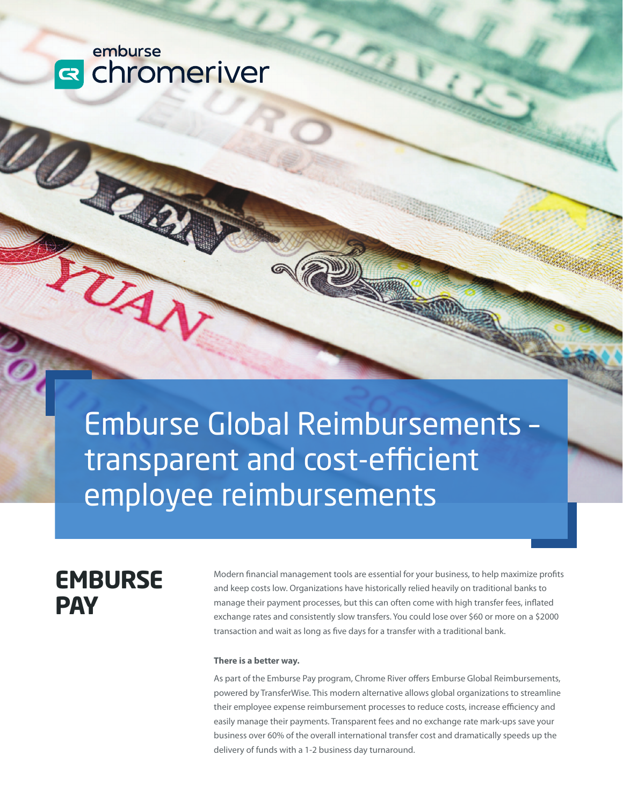## emburse **R** chromeriver

Emburse Global Reimbursements – transparent and cost-efficient employee reimbursements

# **EMBURSE PAY**

Modern financial management tools are essential for your business, to help maximize profits and keep costs low. Organizations have historically relied heavily on traditional banks to manage their payment processes, but this can often come with high transfer fees, inflated exchange rates and consistently slow transfers. You could lose over \$60 or more on a \$2000 transaction and wait as long as five days for a transfer with a traditional bank.

#### **There is a better way.**

As part of the Emburse Pay program, Chrome River offers Emburse Global Reimbursements, powered by TransferWise. This modern alternative allows global organizations to streamline their employee expense reimbursement processes to reduce costs, increase efficiency and easily manage their payments. Transparent fees and no exchange rate mark-ups save your business over 60% of the overall international transfer cost and dramatically speeds up the delivery of funds with a 1-2 business day turnaround.